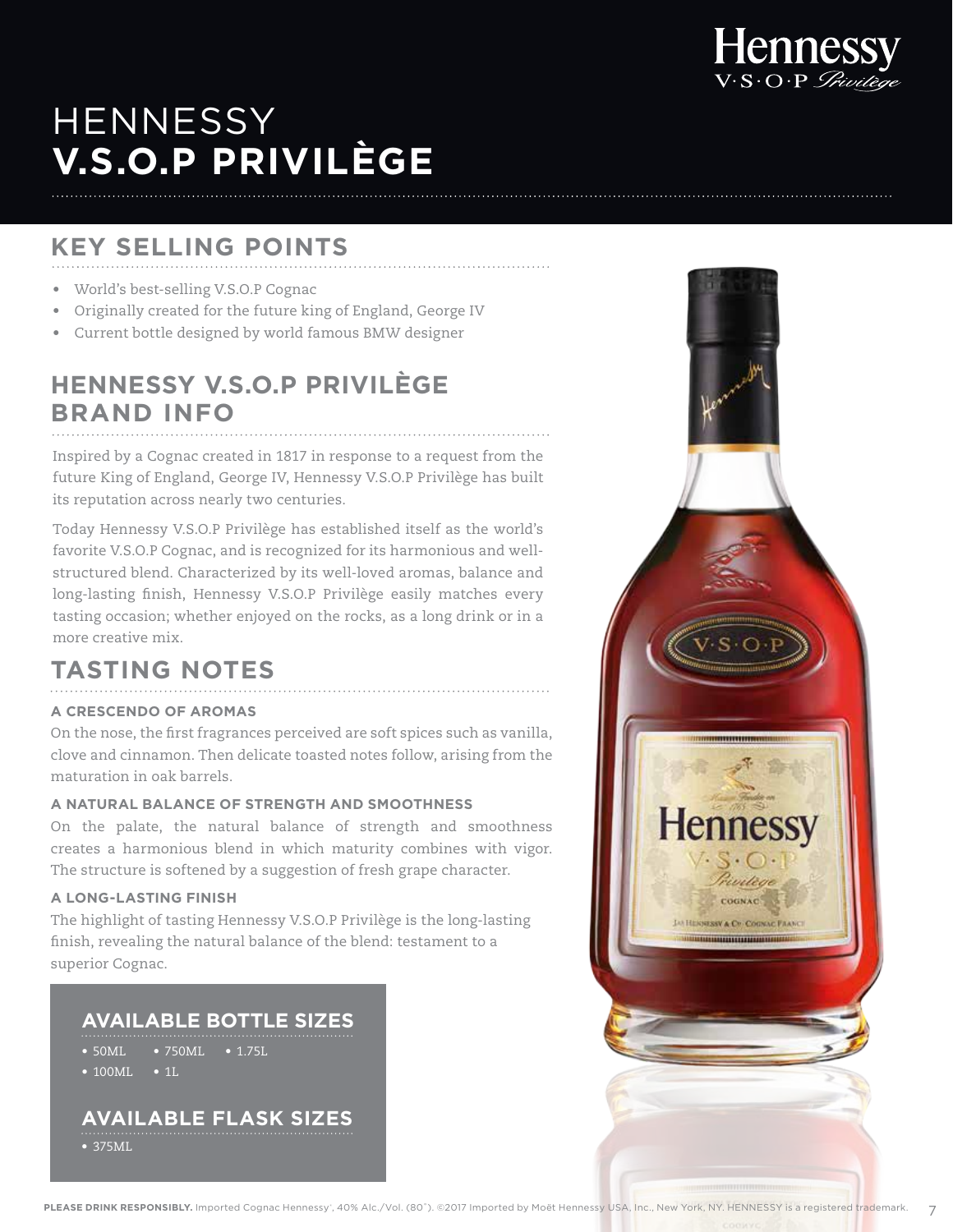

**JAN HERNESSY & CO COUNAU FRANC** 

# **HENNESSY V.S.O.P PRIVILÈGE**

## **KEY SELLING POINTS**

- World's best-selling V.S.O.P Cognac
- Originally created for the future king of England, George IV
- Current bottle designed by world famous BMW designer

# **HENNESSY V.S.O.P PRIVILÈGE BRAND INFO**

Inspired by a Cognac created in 1817 in response to a request from the future King of England, George IV, Hennessy V.S.O.P Privilège has built its reputation across nearly two centuries.

Today Hennessy V.S.O.P Privilège has established itself as the world's favorite V.S.O.P Cognac, and is recognized for its harmonious and wellstructured blend. Characterized by its well-loved aromas, balance and long-lasting finish, Hennessy V.S.O.P Privilège easily matches every tasting occasion; whether enjoyed on the rocks, as a long drink or in a more creative mix.

### **TASTING NOTES**

#### **A CRESCENDO OF AROMAS**

On the nose, the first fragrances perceived are soft spices such as vanilla, clove and cinnamon. Then delicate toasted notes follow, arising from the maturation in oak barrels.

#### **A NATURAL BALANCE OF STRENGTH AND SMOOTHNESS**

On the palate, the natural balance of strength and smoothness creates a harmonious blend in which maturity combines with vigor. The structure is softened by a suggestion of fresh grape character.

#### **A LONG-LASTING FINISH**

The highlight of tasting Hennessy V.S.O.P Privilège is the long-lasting finish, revealing the natural balance of the blend: testament to a superior Cognac.

### **AVAILABLE BOTTLE SIZES**

• 50ML • 100ML • 1L • 750ML • 1.75L

### **AVAILABLE FLASK SIZES**

• 375ML